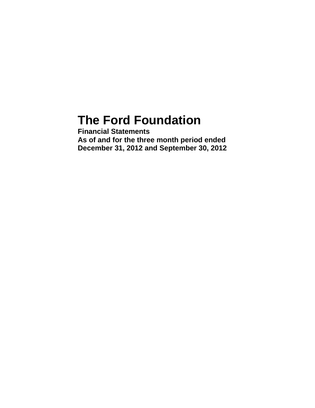# **The Ford Foundation**

**Financial Statements As of and for the three month period ended December 31, 2012 and September 30, 2012**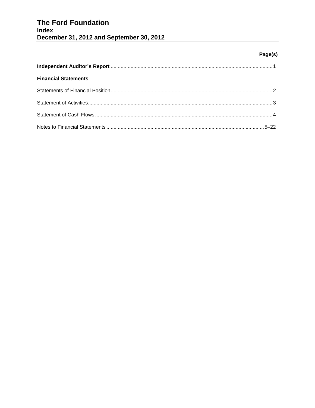# The Ford Foundation Index December 31, 2012 and September 30, 2012

# Page(s)

| <b>Financial Statements</b> |  |
|-----------------------------|--|
|                             |  |
|                             |  |
|                             |  |
|                             |  |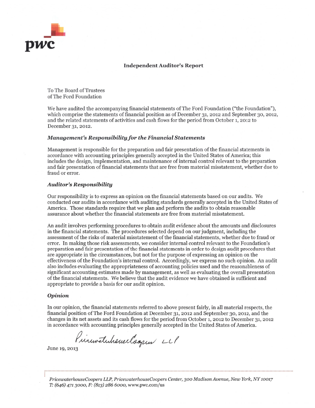

#### **Independent Auditor's Report**

To The Board of Trustees of The Ford Foundation

We have audited the accompanying financial statements of The Ford Foundation ("the Foundation"), which comprise the statements of financial position as of December 31, 2012 and September 30, 2012, and the related statements of activities and cash flows for the period from October 1, 2012 to December 31, 2012.

#### **Management's Responsibility for the Financial Statements**

Management is responsible for the preparation and fair presentation of the financial statements in accordance with accounting principles generally accepted in the United States of America; this includes the design, implementation, and maintenance of internal control relevant to the preparation and fair presentation of financial statements that are free from material misstatement, whether due to fraud or error.

#### **Auditor's Responsibility**

Our responsibility is to express an opinion on the financial statements based on our audits. We conducted our audits in accordance with auditing standards generally accepted in the United States of America. Those standards require that we plan and perform the audits to obtain reasonable assurance about whether the financial statements are free from material misstatement.

An audit involves performing procedures to obtain audit evidence about the amounts and disclosures in the financial statements. The procedures selected depend on our judgment, including the assessment of the risks of material misstatement of the financial statements, whether due to fraud or error. In making those risk assessments, we consider internal control relevant to the Foundation's preparation and fair presentation of the financial statements in order to design audit procedures that are appropriate in the circumstances, but not for the purpose of expressing an opinion on the effectiveness of the Foundation's internal control. Accordingly, we express no such opinion. An audit also includes evaluating the appropriateness of accounting policies used and the reasonableness of significant accounting estimates made by management, as well as evaluating the overall presentation of the financial statements. We believe that the audit evidence we have obtained is sufficient and appropriate to provide a basis for our audit opinion.

#### **Opinion**

In our opinion, the financial statements referred to above present fairly, in all material respects, the financial position of The Ford Foundation at December 31, 2012 and September 30, 2012, and the changes in its net assets and its cash flows for the period from October 1, 2012 to December 31, 2012 in accordance with accounting principles generally accepted in the United States of America.

Pincewatcheuseloopen LLP

June 19, 2013

PricewaterhouseCoopers LLP, PricewaterhouseCoopers Center, 300 Madison Avenue, New York, NY 10017 T: (646) 471 3000, F: (813) 286 6000, www.pwc.com/us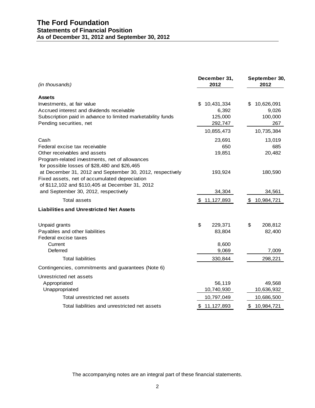# **The Ford Foundation Statements of Financial Position As of December 31, 2012 and September 30, 2012**

| (in thousands)                                              | December 31,<br>2012 | September 30,<br>2012 |
|-------------------------------------------------------------|----------------------|-----------------------|
| Assets                                                      |                      |                       |
| Investments, at fair value                                  | 10,431,334<br>S.     | 10,626,091<br>\$      |
| Accrued interest and dividends receivable                   | 6,392                | 9,026                 |
| Subscription paid in advance to limited marketability funds | 125,000              | 100,000               |
| Pending securities, net                                     | 292,747              | 267                   |
|                                                             | 10,855,473           | 10,735,384            |
| Cash                                                        | 23,691               | 13,019                |
| Federal excise tax receivable                               | 650                  | 685                   |
| Other receivables and assets                                | 19,851               | 20,482                |
| Program-related investments, net of allowances              |                      |                       |
| for possible losses of \$28,480 and \$26,465                |                      |                       |
| at December 31, 2012 and September 30, 2012, respectively   | 193,924              | 180,590               |
| Fixed assets, net of accumulated depreciation               |                      |                       |
| of \$112,102 and \$110,405 at December 31, 2012             |                      |                       |
| and September 30, 2012, respectively                        | 34,304               | 34,561                |
| Total assets                                                | \$11,127,893         | 10,984,721<br>\$      |
| <b>Liabilities and Unrestricted Net Assets</b>              |                      |                       |
| Unpaid grants                                               | \$<br>229,371        | \$<br>208,812         |
| Payables and other liabilities                              | 83,804               | 82,400                |
| Federal excise taxes                                        |                      |                       |
| Current                                                     | 8,600                |                       |
| Deferred                                                    | 9,069                | 7,009                 |
| <b>Total liabilities</b>                                    | 330,844              | 298,221               |
| Contingencies, commitments and guarantees (Note 6)          |                      |                       |
| Unrestricted net assets                                     |                      |                       |
| Appropriated                                                | 56,119               | 49,568                |
| Unappropriated                                              | 10,740,930           | 10,636,932            |
| Total unrestricted net assets                               | 10,797,049           | 10,686,500            |
| Total liabilities and unrestricted net assets               | 11,127,893<br>\$     | 10,984,721<br>\$      |

The accompanying notes are an integral part of these financial statements.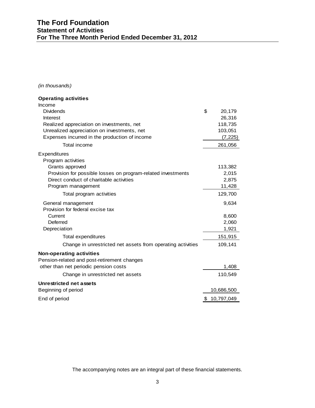*(in thousands)*

| <b>Operating activities</b>                                  |                  |
|--------------------------------------------------------------|------------------|
| Income                                                       |                  |
| <b>Dividends</b>                                             | \$<br>20,179     |
| <b>Interest</b>                                              | 26,316           |
| Realized appreciation on investments, net                    | 118,735          |
| Unrealized appreciation on investments, net                  | 103,051          |
| Expenses incurred in the production of income                | (7, 225)         |
| Total income                                                 | 261,056          |
| Expenditures                                                 |                  |
| Program activities                                           |                  |
| Grants approved                                              | 113,382          |
| Provision for possible losses on program-related investments | 2,015            |
| Direct conduct of charitable activities                      | 2,875            |
| Program management                                           | 11,428           |
| Total program activities                                     | 129,700          |
| General management                                           | 9,634            |
| Provision for federal excise tax                             |                  |
| Current                                                      | 8,600            |
| Deferred                                                     | 2,060            |
| Depreciation                                                 | 1,921            |
| Total expenditures                                           | 151,915          |
| Change in unrestricted net assets from operating activities  | 109,141          |
| <b>Non-operating activities</b>                              |                  |
| Pension-related and post-retirement changes                  |                  |
| other than net periodic pension costs                        | 1,408            |
| Change in unrestricted net assets                            | 110,549          |
| Unrestricted net assets                                      |                  |
| Beginning of period                                          | 10,686,500       |
| End of period                                                | \$<br>10,797,049 |
|                                                              |                  |

The accompanying notes are an integral part of these financial statements.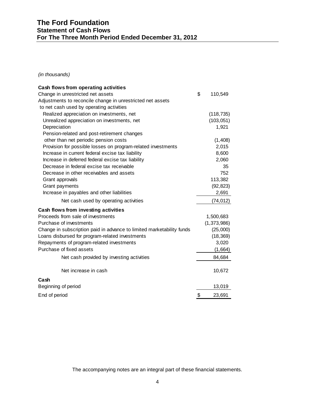*(in thousands)*

| Cash flows from operating activities                                  |               |
|-----------------------------------------------------------------------|---------------|
| Change in unrestricted net assets                                     | \$<br>110,549 |
| Adjustments to reconcile change in unrestricted net assets            |               |
| to net cash used by operating activities                              |               |
| Realized appreciation on investments, net                             | (118, 735)    |
| Unrealized appreciation on investments, net                           | (103, 051)    |
| Depreciation                                                          | 1,921         |
| Pension-related and post-retirement changes                           |               |
| other than net periodic pension costs                                 | (1,408)       |
| Provision for possible losses on program-related investments          | 2,015         |
| Increase in current federal excise tax liability                      | 8,600         |
| Increase in deferred federal excise tax liability                     | 2,060         |
| Decrease in federal excise tax receivable                             | 35            |
| Decrease in other receivables and assets                              | 752           |
| Grant approvals                                                       | 113,382       |
| Grant payments                                                        | (92, 823)     |
| Increase in payables and other liabilities                            | 2,691         |
| Net cash used by operating activities                                 | (74, 012)     |
| Cash flows from investing activities                                  |               |
| Proceeds from sale of investments                                     | 1,500,683     |
| Purchase of investments                                               | (1,373,986)   |
| Change in subscription paid in advance to limited marketability funds | (25,000)      |
| Loans disbursed for program-related investments                       | (18, 369)     |
| Repayments of program-related investments                             | 3,020         |
| Purchase of fixed assets                                              | (1,664)       |
| Net cash provided by investing activities                             | 84,684        |
| Net increase in cash                                                  | 10,672        |
| Cash                                                                  |               |
| Beginning of period                                                   | 13,019        |
| End of period                                                         | \$<br>23,691  |

The accompanying notes are an integral part of these financial statements.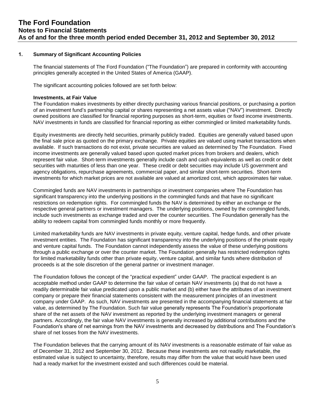## **1. Summary of Significant Accounting Policies**

The financial statements of The Ford Foundation ("The Foundation") are prepared in conformity with accounting principles generally accepted in the United States of America (GAAP).

The significant accounting policies followed are set forth below:

#### **Investments, at Fair Value**

The Foundation makes investments by either directly purchasing various financial positions, or purchasing a portion of an investment fund's partnership capital or shares representing a net assets value ("NAV") investment. Directly owned positions are classified for financial reporting purposes as short-term, equities or fixed income investments. NAV investments in funds are classified for financial reporting as either commingled or limited marketability funds.

Equity investments are directly held securities, primarily publicly traded. Equities are generally valued based upon the final sale price as quoted on the primary exchange. Private equities are valued using market transactions when available. If such transactions do not exist, private securities are valued as determined by The Foundation. Fixed income investments are generally valued based upon quoted market prices from brokers and dealers, which represent fair value. Short-term investments generally include cash and cash equivalents as well as credit or debt securities with maturities of less than one year. These credit or debt securities may include US government and agency obligations, repurchase agreements, commercial paper, and similar short-term securities. Short-term investments for which market prices are not available are valued at amortized cost, which approximates fair value.

Commingled funds are NAV investments in partnerships or investment companies where The Foundation has significant transparency into the underlying positions in the commingled funds and that have no significant restrictions on redemption rights. For commingled funds the NAV is determined by either an exchange or the respective general partners or investment managers. The underlying positions, owned by the commingled funds, include such investments as exchange traded and over the counter securities. The Foundation generally has the ability to redeem capital from commingled funds monthly or more frequently.

Limited marketability funds are NAV investments in private equity, venture capital, hedge funds, and other private investment entities. The Foundation has significant transparency into the underlying positions of the private equity and venture capital funds. The Foundation cannot independently assess the value of these underlying positions through a public exchange or over the counter market. The Foundation generally has restricted redemption rights for limited marketability funds other than private equity, venture capital, and similar funds where distribution of proceeds is at the sole discretion of the general partner or investment manager.

The Foundation follows the concept of the "practical expedient" under GAAP. The practical expedient is an acceptable method under GAAP to determine the fair value of certain NAV investments (a) that do not have a readily determinable fair value predicated upon a public market and (b) either have the attributes of an investment company or prepare their financial statements consistent with the measurement principles of an investment company under GAAP. As such, NAV investments are presented in the accompanying financial statements at fair value, as determined by The Foundation. Such fair value generally represents The Foundation's proportionate share of the net assets of the NAV investment as reported by the underlying investment managers or general partners. Accordingly, the fair value NAV investments is generally increased by additional contributions and the Foundation's share of net earnings from the NAV investments and decreased by distributions and The Foundation's share of net losses from the NAV investments.

The Foundation believes that the carrying amount of its NAV investments is a reasonable estimate of fair value as of December 31, 2012 and September 30, 2012. Because these investments are not readily marketable, the estimated value is subject to uncertainty, therefore, results may differ from the value that would have been used had a ready market for the investment existed and such differences could be material.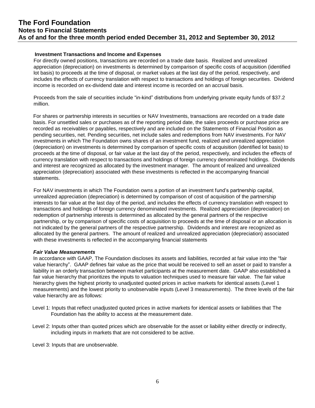## **Investment Transactions and Income and Expenses**

For directly owned positions, transactions are recorded on a trade date basis. Realized and unrealized appreciation (depreciation) on investments is determined by comparison of specific costs of acquisition (identified lot basis) to proceeds at the time of disposal, or market values at the last day of the period, respectively, and includes the effects of currency translation with respect to transactions and holdings of foreign securities. Dividend income is recorded on ex-dividend date and interest income is recorded on an accrual basis.

Proceeds from the sale of securities include "in-kind" distributions from underlying private equity funds of \$37.2 million.

For shares or partnership interests in securities or NAV Investments, transactions are recorded on a trade date basis. For unsettled sales or purchases as of the reporting period date, the sales proceeds or purchase price are recorded as receivables or payables, respectively and are included on the Statements of Financial Position as pending securities, net. Pending securities, net include sales and redemptions from NAV investments. For NAV investments in which The Foundation owns shares of an investment fund, realized and unrealized appreciation (depreciation) on investments is determined by comparison of specific costs of acquisition (identified lot basis) to proceeds at the time of disposal, or fair value at the last day of the period, respectively, and includes the effects of currency translation with respect to transactions and holdings of foreign currency denominated holdings. Dividends and interest are recognized as allocated by the investment manager. The amount of realized and unrealized appreciation (depreciation) associated with these investments is reflected in the accompanying financial statements.

For NAV investments in which The Foundation owns a portion of an investment fund's partnership capital, unrealized appreciation (depreciation) is determined by comparison of cost of acquisition of the partnership interests to fair value at the last day of the period, and includes the effects of currency translation with respect to transactions and holdings of foreign currency denominated investments. Realized appreciation (depreciation) on redemption of partnership interests is determined as allocated by the general partners of the respective partnership, or by comparison of specific costs of acquisition to proceeds at the time of disposal or an allocation is not indicated by the general partners of the respective partnership. Dividends and interest are recognized as allocated by the general partners. The amount of realized and unrealized appreciation (depreciation) associated with these investments is reflected in the accompanying financial statements

#### *Fair Value Measurements*

In accordance with GAAP, The Foundation discloses its assets and liabilities, recorded at fair value into the "fair value hierarchy". GAAP defines fair value as the price that would be received to sell an asset or paid to transfer a liability in an orderly transaction between market participants at the measurement date. GAAP also established a fair value hierarchy that prioritizes the inputs to valuation techniques used to measure fair value. The fair value hierarchy gives the highest priority to unadjusted quoted prices in active markets for identical assets (Level 1 measurements) and the lowest priority to unobservable inputs (Level 3 measurements). The three levels of the fair value hierarchy are as follows:

- Level 1: Inputs that reflect unadjusted quoted prices in active markets for identical assets or liabilities that The Foundation has the ability to access at the measurement date.
- Level 2: Inputs other than quoted prices which are observable for the asset or liability either directly or indirectly, including inputs in markets that are not considered to be active.

Level 3: Inputs that are unobservable.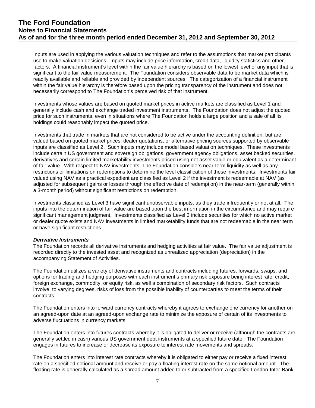Inputs are used in applying the various valuation techniques and refer to the assumptions that market participants use to make valuation decisions. Inputs may include price information, credit data, liquidity statistics and other factors. A financial instrument's level within the fair value hierarchy is based on the lowest level of any input that is significant to the fair value measurement. The Foundation considers observable data to be market data which is readily available and reliable and provided by independent sources. The categorization of a financial instrument within the fair value hierarchy is therefore based upon the pricing transparency of the instrument and does not necessarily correspond to The Foundation's perceived risk of that instrument.

Investments whose values are based on quoted market prices in active markets are classified as Level 1 and generally include cash and exchange traded investment instruments. The Foundation does not adjust the quoted price for such instruments, even in situations where The Foundation holds a large position and a sale of all its holdings could reasonably impact the quoted price.

Investments that trade in markets that are not considered to be active under the accounting definition, but are valued based on quoted market prices, dealer quotations, or alternative pricing sources supported by observable inputs are classified as Level 2. Such inputs may include model based valuation techniques. These investments include certain US government and sovereign obligations, government agency obligations, asset backed securities, derivatives and certain limited marketability investments priced using net asset value or equivalent as a determinant of fair value. With respect to NAV investments, The Foundation considers near-term liquidity as well as any restrictions or limitations on redemptions to determine the level classification of these investments. Investments fair valued using NAV as a practical expedient are classified as Level 2 if the investment is redeemable at NAV (as adjusted for subsequent gains or losses through the effective date of redemption) in the near-term (generally within a 3-month period) without significant restrictions on redemption.

Investments classified as Level 3 have significant unobservable inputs, as they trade infrequently or not at all. The inputs into the determination of fair value are based upon the best information in the circumstance and may require significant management judgment. Investments classified as Level 3 include securities for which no active market or dealer quote exists and NAV investments in limited marketability funds that are not redeemable in the near term or have significant restrictions.

#### *Derivative Instruments*

The Foundation records all derivative instruments and hedging activities at fair value. The fair value adjustment is recorded directly to the invested asset and recognized as unrealized appreciation (depreciation) in the accompanying Statement of Activities.

The Foundation utilizes a variety of derivative instruments and contracts including futures, forwards, swaps, and options for trading and hedging purposes with each instrument's primary risk exposure being interest rate, credit, foreign exchange, commodity, or equity risk, as well a combination of secondary risk factors. Such contracts involve, to varying degrees, risks of loss from the possible inability of counterparties to meet the terms of their contracts.

The Foundation enters into forward currency contracts whereby it agrees to exchange one currency for another on an agreed-upon date at an agreed-upon exchange rate to minimize the exposure of certain of its investments to adverse fluctuations in currency markets.

The Foundation enters into futures contracts whereby it is obligated to deliver or receive (although the contracts are generally settled in cash) various US government debt instruments at a specified future date. The Foundation engages in futures to increase or decrease its exposure to interest rate movements and spreads.

The Foundation enters into interest rate contracts whereby it is obligated to either pay or receive a fixed interest rate on a specified notional amount and receive or pay a floating interest rate on the same notional amount. The floating rate is generally calculated as a spread amount added to or subtracted from a specified London Inter-Bank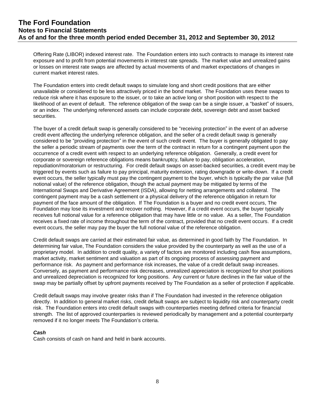Offering Rate (LIBOR) indexed interest rate. The Foundation enters into such contracts to manage its interest rate exposure and to profit from potential movements in interest rate spreads. The market value and unrealized gains or losses on interest rate swaps are affected by actual movements of and market expectations of changes in current market interest rates.

The Foundation enters into credit default swaps to simulate long and short credit positions that are either unavailable or considered to be less attractively priced in the bond market. The Foundation uses these swaps to reduce risk where it has exposure to the issuer, or to take an active long or short position with respect to the likelihood of an event of default. The reference obligation of the swap can be a single issuer, a "basket" of issuers, or an index. The underlying referenced assets can include corporate debt, sovereign debt and asset backed securities.

The buyer of a credit default swap is generally considered to be "receiving protection" in the event of an adverse credit event affecting the underlying reference obligation, and the seller of a credit default swap is generally considered to be "providing protection" in the event of such credit event. The buyer is generally obligated to pay the seller a periodic stream of payments over the term of the contract in return for a contingent payment upon the occurrence of a credit event with respect to an underlying reference obligation. Generally, a credit event for corporate or sovereign reference obligations means bankruptcy, failure to pay, obligation acceleration, repudiation/moratorium or restructuring. For credit default swaps on asset-backed securities, a credit event may be triggered by events such as failure to pay principal, maturity extension, rating downgrade or write-down. If a credit event occurs, the seller typically must pay the contingent payment to the buyer, which is typically the par value (full notional value) of the reference obligation, though the actual payment may be mitigated by terms of the International Swaps and Derivative Agreement (ISDA), allowing for netting arrangements and collateral. The contingent payment may be a cash settlement or a physical delivery of the reference obligation in return for payment of the face amount of the obligation. If The Foundation is a buyer and no credit event occurs, The Foundation may lose its investment and recover nothing. However, if a credit event occurs, the buyer typically receives full notional value for a reference obligation that may have little or no value. As a seller, The Foundation receives a fixed rate of income throughout the term of the contract, provided that no credit event occurs. If a credit event occurs, the seller may pay the buyer the full notional value of the reference obligation.

Credit default swaps are carried at their estimated fair value, as determined in good faith by The Foundation. In determining fair value, The Foundation considers the value provided by the counterparty as well as the use of a proprietary model. In addition to credit quality, a variety of factors are monitored including cash flow assumptions, market activity, market sentiment and valuation as part of its ongoing process of assessing payment and performance risk. As payment and performance risk increases, the value of a credit default swap increases. Conversely, as payment and performance risk decreases, unrealized appreciation is recognized for short positions and unrealized depreciation is recognized for long positions. Any current or future declines in the fair value of the swap may be partially offset by upfront payments received by The Foundation as a seller of protection if applicable.

Credit default swaps may involve greater risks than if The Foundation had invested in the reference obligation directly. In addition to general market risks, credit default swaps are subject to liquidity risk and counterparty credit risk. The Foundation enters into credit default swaps with counterparties meeting defined criteria for financial strength. The list of approved counterparties is reviewed periodically by management and a potential counterparty removed if it no longer meets The Foundation's criteria.

## *Cash*

Cash consists of cash on hand and held in bank accounts.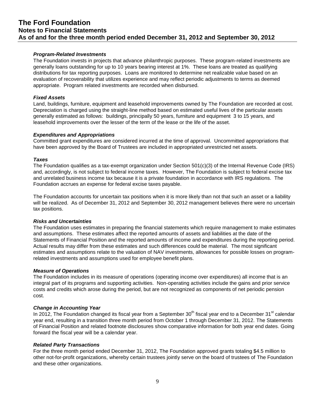## *Program-Related Investments*

The Foundation invests in projects that advance philanthropic purposes. These program-related investments are generally loans outstanding for up to 10 years bearing interest at 1%. These loans are treated as qualifying distributions for tax reporting purposes. Loans are monitored to determine net realizable value based on an evaluation of recoverability that utilizes experience and may reflect periodic adjustments to terms as deemed appropriate. Program related investments are recorded when disbursed.

## *Fixed Assets*

Land, buildings, furniture, equipment and leasehold improvements owned by The Foundation are recorded at cost. Depreciation is charged using the straight-line method based on estimated useful lives of the particular assets generally estimated as follows: buildings, principally 50 years, furniture and equipment 3 to 15 years, and leasehold improvements over the lesser of the term of the lease or the life of the asset.

## *Expenditures and Appropriations*

Committed grant expenditures are considered incurred at the time of approval. Uncommitted appropriations that have been approved by the Board of Trustees are included in appropriated unrestricted net assets.

## *Taxes*

The Foundation qualifies as a tax-exempt organization under Section 501(c)(3) of the Internal Revenue Code (IRS) and, accordingly, is not subject to federal income taxes. However, The Foundation is subject to federal excise tax and unrelated business income tax because it is a private foundation in accordance with IRS regulations. The Foundation accrues an expense for federal excise taxes payable.

The Foundation accounts for uncertain tax positions when it is more likely than not that such an asset or a liability will be realized. As of December 31, 2012 and September 30, 2012 management believes there were no uncertain tax positions.

#### *Risks and Uncertainties*

The Foundation uses estimates in preparing the financial statements which require management to make estimates and assumptions. These estimates affect the reported amounts of assets and liabilities at the date of the Statements of Financial Position and the reported amounts of income and expenditures during the reporting period. Actual results may differ from these estimates and such differences could be material. The most significant estimates and assumptions relate to the valuation of NAV investments, allowances for possible losses on programrelated investments and assumptions used for employee benefit plans.

#### *Measure of Operations*

The Foundation includes in its measure of operations (operating income over expenditures) all income that is an integral part of its programs and supporting activities. Non-operating activities include the gains and prior service costs and credits which arose during the period, but are not recognized as components of net periodic pension cost.

#### *Change in Accounting Year*

In 2012, The Foundation changed its fiscal year from a September 30<sup>th</sup> fiscal year end to a December 31<sup>st</sup> calendar year end, resulting in a transition three month period from October 1 through December 31, 2012. The Statements of Financial Position and related footnote disclosures show comparative information for both year end dates. Going forward the fiscal year will be a calendar year.

#### *Related Party Transactions*

For the three month period ended December 31, 2012, The Foundation approved grants totaling \$4.5 million to other not-for-profit organizations, whereby certain trustees jointly serve on the board of trustees of The Foundation and these other organizations.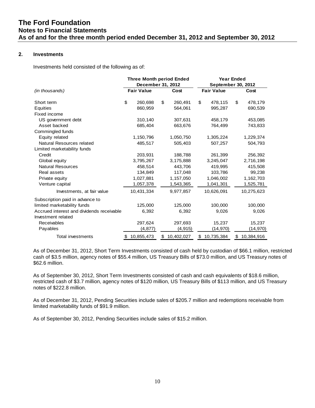## **2. Investments**

Investments held consisted of the following as of:

|                                           |          |                   |    | <b>Three Month period Ended</b> |                           | <b>Year Ended</b> |    |              |  |
|-------------------------------------------|----------|-------------------|----|---------------------------------|---------------------------|-------------------|----|--------------|--|
|                                           |          | December 31, 2012 |    |                                 | <b>September 30, 2012</b> |                   |    |              |  |
| (in thousands)                            |          | <b>Fair Value</b> |    | Cost                            | <b>Fair Value</b>         |                   |    | Cost         |  |
| Short term                                | \$       | 260,698           | \$ | 260,491                         | \$                        | 478,115           | \$ | 478,179      |  |
| Equities                                  |          | 860,959           |    | 564,061                         |                           | 995,287           |    | 690,539      |  |
| Fixed income                              |          |                   |    |                                 |                           |                   |    |              |  |
| US government debt                        |          | 310,140           |    | 307,631                         |                           | 458,179           |    | 453,085      |  |
| Asset backed                              |          | 685,404           |    | 663,676                         |                           | 764,499           |    | 743,833      |  |
| Commingled funds                          |          |                   |    |                                 |                           |                   |    |              |  |
| Equity related                            |          | 1,150,796         |    | 1,050,750                       |                           | 1,305,224         |    | 1,229,374    |  |
| Natural Resources related                 |          | 485,517           |    | 505,403                         |                           | 507,257           |    | 504,793      |  |
| Limited marketability funds               |          |                   |    |                                 |                           |                   |    |              |  |
| Credit                                    |          | 203,931           |    | 188,788                         |                           | 261,399           |    | 256,392      |  |
| Global equity                             |          | 3,795,267         |    | 3,175,888                       |                           | 3,245,047         |    | 2,716,198    |  |
| <b>Natural Resources</b>                  |          | 458,514           |    | 443,706                         |                           | 419,995           |    | 415,508      |  |
| Real assets                               |          | 134,849           |    | 117,048                         |                           | 103,786           |    | 99,238       |  |
| Private equity                            |          | 1,027,881         |    | 1,157,050                       |                           | 1,046,002         |    | 1,162,703    |  |
| Venture capital                           |          | 1,057,378         |    | 1,543,365                       |                           | 1,041,301         |    | 1,525,781    |  |
| Investments, at fair value                |          | 10,431,334        |    | 9,977,857                       |                           | 10,626,091        |    | 10,275,623   |  |
| Subscription paid in advance to           |          |                   |    |                                 |                           |                   |    |              |  |
| limited marketability funds               |          | 125,000           |    | 125,000                         |                           | 100,000           |    | 100,000      |  |
| Accrued interest and dividends receivable |          | 6,392             |    | 6,392                           |                           | 9,026             |    | 9,026        |  |
| Investment related                        |          |                   |    |                                 |                           |                   |    |              |  |
| Receivables                               |          | 297,624           |    | 297,693                         |                           | 15,237            |    | 15,237       |  |
| Payables                                  | (4, 877) |                   |    | (4, 915)                        |                           | (14, 970)         |    | (14, 970)    |  |
| <b>Total investments</b>                  | \$       | 10,855,473        | \$ | 10,402,027                      | \$                        | 10,735,384        |    | \$10,384,916 |  |

As of December 31, 2012, Short Term Investments consisted of cash held by custodian of \$66.1 million, restricted cash of \$3.5 million, agency notes of \$55.4 million, US Treasury Bills of \$73.0 million, and US Treasury notes of \$62.6 million.

As of September 30, 2012, Short Term Investments consisted of cash and cash equivalents of \$18.6 million, restricted cash of \$3.7 million, agency notes of \$120 million, US Treasury Bills of \$113 million, and US Treasury notes of \$222.8 million.

As of December 31, 2012, Pending Securities include sales of \$205.7 million and redemptions receivable from limited marketability funds of \$91.9 million.

As of September 30, 2012, Pending Securities include sales of \$15.2 million.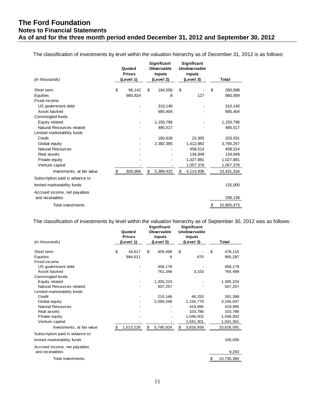The classification of investments by level within the valuation hierarchy as of December 31, 2012 is as follows:

| (in thousands)                  |    | Quoted<br><b>Prices</b><br>(Level 1) |    | Significant<br><b>Observable</b><br><b>Inputs</b><br>(Level 2) |    | Significant<br>Unobservable<br>Inputs<br>(Level 3) | Total            |
|---------------------------------|----|--------------------------------------|----|----------------------------------------------------------------|----|----------------------------------------------------|------------------|
|                                 |    |                                      |    |                                                                |    |                                                    |                  |
| Short term                      | \$ | 66,142                               | \$ | 194,556                                                        | \$ |                                                    | \$<br>260,698    |
| Equities                        |    | 860,824                              |    | 8                                                              |    | 127                                                | 860,959          |
| Fixed income                    |    |                                      |    |                                                                |    |                                                    |                  |
| US government debt              |    |                                      |    | 310,140                                                        |    |                                                    | 310,140          |
| Asset backed                    |    |                                      |    | 685.404                                                        |    |                                                    | 685,404          |
| Commingled funds                |    |                                      |    |                                                                |    |                                                    |                  |
| Equity related                  |    |                                      |    | 1,150,796                                                      |    |                                                    | 1,150,796        |
| Natural Resources related       |    |                                      |    | 485,517                                                        |    |                                                    | 485,517          |
| Limited marketability funds     |    |                                      |    |                                                                |    |                                                    |                  |
| Credit                          |    |                                      |    | 180,626                                                        |    | 23,305                                             | 203,931          |
| Global equity                   |    |                                      |    | 2,382,385                                                      |    | 1,412,882                                          | 3,795,267        |
| <b>Natural Resources</b>        |    |                                      |    |                                                                |    | 458,514                                            | 458,514          |
| Real assets                     |    |                                      |    |                                                                |    | 134,849                                            | 134,849          |
| Private equity                  |    |                                      |    |                                                                |    | 1,027,881                                          | 1,027,881        |
| Venture capital                 |    |                                      |    |                                                                |    | 1,057,378                                          | 1,057,378        |
| Investments, at fair value      | \$ | 926,966                              | \$ | 5,389,432                                                      | \$ | 4,114,936                                          | 10,431,334       |
| Subscription paid in advance to |    |                                      |    |                                                                |    |                                                    |                  |
| limited marketability funds     |    |                                      |    |                                                                |    |                                                    | 125,000          |
| Accrued income, net payables    |    |                                      |    |                                                                |    |                                                    |                  |
| and receivables                 |    |                                      |    |                                                                |    |                                                    | 299,139          |
| <b>Total investments</b>        |    |                                      |    |                                                                |    |                                                    | \$<br>10,855,473 |

The classification of investments by level within the valuation hierarchy as of September 30, 2012 was as follows:

| (in thousands)                  | Quoted<br><b>Prices</b><br>(Level 1) | Significant<br>Observable<br>Inputs<br>(Level 2) | <b>Significant</b><br>Unobservable<br>Inputs<br>(Level 3) | Total            |
|---------------------------------|--------------------------------------|--------------------------------------------------|-----------------------------------------------------------|------------------|
|                                 |                                      |                                                  |                                                           |                  |
| Short term                      | \$<br>18,617                         | \$<br>459,498                                    | \$                                                        | \$<br>478,115    |
| Equities                        | 994,611                              | 6                                                | 670                                                       | 995,287          |
| Fixed income                    |                                      |                                                  |                                                           |                  |
| US government debt              |                                      | 458,179                                          |                                                           | 458,179          |
| Asset backed                    |                                      | 761,346                                          | 3,153                                                     | 764,499          |
| Commingled funds                |                                      |                                                  |                                                           |                  |
| Equity related                  |                                      | 1,305,224                                        |                                                           | 1,305,224        |
| Natural Resources related       |                                      | 507,257                                          |                                                           | 507,257          |
| Limited marketability funds     |                                      |                                                  |                                                           |                  |
| Credit                          |                                      | 215,146                                          | 46,253                                                    | 261,399          |
| Global equity                   |                                      | 2,089,268                                        | 1,155,779                                                 | 3,245,047        |
| Natural Resources               |                                      |                                                  | 419,995                                                   | 419,995          |
| Real assets                     |                                      |                                                  | 103,786                                                   | 103,786          |
| Private equity                  |                                      |                                                  | 1,046,002                                                 | 1,046,002        |
| Venture capital                 |                                      |                                                  | 1,041,301                                                 | 1,041,301        |
| Investments, at fair value      | \$<br>1,013,228                      | \$<br>5,795,924                                  | \$<br>3,816,939                                           | 10,626,091       |
| Subscription paid in advance to |                                      |                                                  |                                                           |                  |
| limited marketability funds     |                                      |                                                  |                                                           | 100,000          |
| Accrued income, net payables    |                                      |                                                  |                                                           |                  |
| and receivables                 |                                      |                                                  |                                                           | 9,293            |
| <b>Total investments</b>        |                                      |                                                  |                                                           | \$<br>10,735,384 |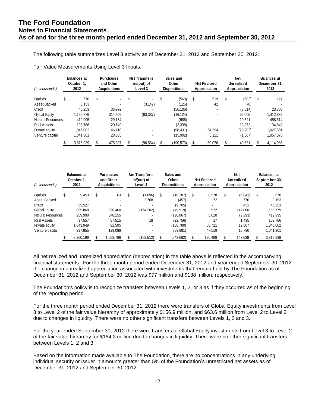The following table summarizes Level 3 activity as of December 31, 2012 and September 30, 2012.

| (in thousands)       | <b>Balances at</b><br>October 1.<br>2012 |           | <b>Purchases</b><br>and Other<br><b>Acquisitions</b> |         | <b>Net Transfers</b><br>in/(out) of<br>Level 3 |           | Sales and<br>Other<br><b>Dispositions</b> |            | Net Realized<br>Appreciation |        | <b>Net</b><br>Unrealized<br>Appreciation |           | <b>Balances at</b><br>December 31.<br>2012 |           |
|----------------------|------------------------------------------|-----------|------------------------------------------------------|---------|------------------------------------------------|-----------|-------------------------------------------|------------|------------------------------|--------|------------------------------------------|-----------|--------------------------------------------|-----------|
| Equities             | ¢<br>J                                   | 670       | \$                                                   | $\sim$  |                                                |           | \$                                        | (560)      | S                            | 519    | \$                                       | (502)     | S                                          | 127       |
| Asset Backed         |                                          | 3,153     |                                                      |         |                                                | (3, 147)  |                                           | (126)      |                              | 42     |                                          | 78        |                                            |           |
| Credit               |                                          | 46.253    |                                                      | 36.972  |                                                |           |                                           | (56, 106)  |                              |        |                                          | (3,814)   |                                            | 23,305    |
| <b>Global Equity</b> |                                          | 1.155.779 |                                                      | 314.609 |                                                | (93, 387) |                                           | (16,124)   |                              |        |                                          | 52.005    |                                            | 1,412,882 |
| Natural Resources    |                                          | 419.995   |                                                      | 29.184  |                                                |           |                                           | (986)      |                              |        |                                          | 10.321    |                                            | 458.514   |
| <b>Real Assets</b>   |                                          | 103.786   |                                                      | 20.149  |                                                |           |                                           | (2,338)    |                              |        |                                          | 13.252    |                                            | 134.849   |
| Private equity       |                                          | 1.046.002 |                                                      | 46.118  |                                                |           |                                           | (98, 431)  |                              | 54,394 |                                          | (20, 202) |                                            | 1,027,881 |
| Venture capital      |                                          | 1,041,301 |                                                      | 28,365  |                                                |           |                                           | (15,902)   |                              | 5,121  |                                          | (1,507)   |                                            | 1,057,378 |
|                      |                                          | 3,816,939 |                                                      | 475,397 |                                                | (96, 534) |                                           | (190, 573) |                              | 60,076 |                                          | 49,631    |                                            | 4,114,936 |

Fair Value Measurements Using Level 3 Inputs:

| (in thousands)     |   | <b>Balances at</b><br>October 1.<br>2011 | <b>Purchases</b><br>and Other<br><b>Acquisitions</b> | <b>Net Transfers</b><br>in/(out) of<br>Level 3 | Sales and<br>Other<br><b>Dispositions</b> |    | Net Realized<br>Appreciation | <b>Net</b><br><b>Unrealized</b><br>Appreciation | <b>Balances at</b><br>September 30.<br>2012 |
|--------------------|---|------------------------------------------|------------------------------------------------------|------------------------------------------------|-------------------------------------------|----|------------------------------|-------------------------------------------------|---------------------------------------------|
| Equities           | ъ | 9,453                                    | \$<br>63                                             | \$<br>(1,096)                                  | \$<br>(10, 287)                           | S  | 8,578                        | \$<br>(6,041)                                   | \$<br>670                                   |
| Asset Backed       |   |                                          |                                                      | 2.768                                          | (457)                                     |    | 72                           | 770                                             | 3.153                                       |
| Credit             |   | 55.527                                   |                                                      |                                                | (9,705)                                   |    |                              | 431                                             | 46.253                                      |
| Global Equity      |   | 855.868                                  | 396.460                                              | (164, 202)                                     | (49, 919)                                 |    | 572                          | 117.000                                         | 1,155,779                                   |
| Natural Resources  |   | 259,990                                  | 348.155                                              |                                                | (190.867)                                 |    | 5.010                        | (2,293)                                         | 419.995                                     |
| <b>Real Assets</b> |   | 37.557                                   | 87.515                                               | 18                                             | (22, 756)                                 |    | 17                           | 1.435                                           | 103.786                                     |
| Private equity     |   | 1.043.949                                | 92.505                                               |                                                | (168.780)                                 |    | 58.721                       | 19.607                                          | 1,046,002                                   |
| Venture capital    |   | 937,855                                  | 129,088                                              |                                                | (89, 891)                                 |    | 47,519                       | 16,730                                          | 1,041,301                                   |
|                    |   | 3,200,199                                | 1.053.786                                            | \$<br>(162, 512)                               | \$<br>(542, 662)                          | \$ | 120,489                      | 147.639                                         | 3,816,939                                   |

All net realized and unrealized appreciation (depreciation) in the table above is reflected in the accompanying financial statements. For the three month period ended December 31, 2012 and year ended September 30, 2012 the change in unrealized appreciation associated with investments that remain held by The Foundation as of December 31, 2012 and September 30, 2012 was \$77 million and \$138 million, respectively.

The Foundation's policy is to recognize transfers between Levels 1, 2, or 3 as if they occurred as of the beginning of the reporting period.

For the three month period ended December 31, 2012 there were transfers of Global Equity investments from Level 3 to Level 2 of the fair value hierarchy of approximately \$156.9 million, and \$63.6 million from Level 2 to Level 3 due to changes in liquidity. There were no other significant transfers between Levels 1, 2 and 3.

For the year ended September 30, 2012 there were transfers of Global Equity investments from Level 3 to Level 2 of the fair value hierarchy for \$164.2 million due to changes in liquidity. There were no other significant transfers between Levels 1, 2 and 3.

Based on the information made available to The Foundation, there are no concentrations in any underlying individual security or issuer in amounts greater than 5% of the Foundation's unrestricted net assets as of December 31, 2012 and September 30, 2012.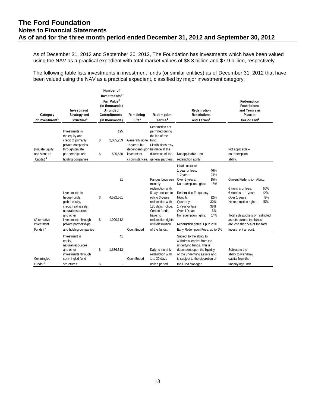As of December 31, 2012 and September 30, 2012, The Foundation has investments which have been valued using the NAV as a practical expedient with total market values of \$8.3 billion and \$7.9 billion, respectively.

The following table lists investments in investment funds (or similar entities) as of December 31, 2012 that have been valued using the NAV as a practical expedient, classified by major investment category:

| Category<br>of Investment <sup>1</sup>                  | Investment<br>Strategy and<br>Structure <sup>1</sup>                                                                                     |          | Number of<br>Investments <sup>2</sup><br>Fair Value <sup>3</sup><br>(in thousands)<br><b>Unfunded</b><br><b>Commitments</b><br>(in thousands)                                                                                                                 | Remaining<br>Life <sup>1</sup> | <b>Redemption</b><br>Terms <sup>1</sup>                                                                                                      | Redemption<br><b>Restrictions</b><br>and Terms <sup>1</sup>                                                                                                                                                 |                                                     | Redemption<br><b>Restrictions</b><br>and Terms in<br>Place at<br>Period End <sup>1</sup>                           |                         |  |
|---------------------------------------------------------|------------------------------------------------------------------------------------------------------------------------------------------|----------|---------------------------------------------------------------------------------------------------------------------------------------------------------------------------------------------------------------------------------------------------------------|--------------------------------|----------------------------------------------------------------------------------------------------------------------------------------------|-------------------------------------------------------------------------------------------------------------------------------------------------------------------------------------------------------------|-----------------------------------------------------|--------------------------------------------------------------------------------------------------------------------|-------------------------|--|
| (Private Equity<br>and Venture<br>Capital) <sup>4</sup> | Investments in<br>the equity and<br>credit of primarily<br>private companies<br>through private<br>partnerships and<br>holding companies | \$<br>\$ | Redemption not<br>195<br>permitted during<br>the life of the<br>2,085,259<br>Generally up to<br>fund.<br>15 years but<br>Distributions may<br>dependent upon be made at the<br>695,530<br>investment<br>discretion of the<br>circumstances. general partners. |                                | Not applicable - no<br>redemption ability.                                                                                                   |                                                                                                                                                                                                             | Not applicable -<br>no redemption<br>ability.       |                                                                                                                    |                         |  |
|                                                         | Investments in<br>hedge funds,<br>global equity,<br>credit, real assets,<br>natural resources.                                           | \$       | 81<br>4,592,561                                                                                                                                                                                                                                               |                                | Ranges between<br>monthly<br>redemption with<br>5 days notice, to<br>rolling 3-years<br>redemption with<br>180 days notice.<br>Certain funds | Initial Lockups:<br>1 year or less:<br>1-2 years:<br>Over 2 years:<br>No redemption rights:<br>Redemption Frequency:<br>Monthly:<br>Quarterly:<br>1 Year or less:<br>Over 1 Year:                           | 46%<br>24%<br>15%<br>15%<br>12%<br>30%<br>38%<br>6% | Current Redemption Ability:<br>6 months or less:<br>6 months to 1 year:<br>Over 1 years:<br>No redemption rights:  | 65%<br>12%<br>8%<br>15% |  |
| (Alternative<br>Investment<br>Funds) <sup>5</sup>       | and other<br>investments through<br>private partnerships<br>and holding companies                                                        | \$       | 1,090,112                                                                                                                                                                                                                                                     | Open Ended                     | have no<br>redemption rights<br>until dissolution<br>of the funds.                                                                           | No redemption rights:<br>Redemption gates: Up to 25%<br>Early Redemption Fees: up to 5%                                                                                                                     | 14%                                                 | Total side pockets or restricted<br>assets across the funds<br>are less than 5% of the total<br>investment amount. |                         |  |
| Commingled<br>Funds <sup>6</sup>                        | Investment in<br>equity,<br>natural resources.<br>and other<br>investments through<br>commingled fund<br>structures                      | \$<br>\$ | 41<br>1,636,313                                                                                                                                                                                                                                               | Open Ended                     | Daily to monthly<br>redemption with<br>1 to 30 days<br>notice period                                                                         | Subject to the ability to<br>withdraw capital from the<br>underlying funds. This is<br>dependent upon the liquidity<br>of the underlying assets and<br>is subject to the discretion of<br>the Fund Manager. |                                                     | Subject to the<br>ability to withdraw<br>capital from the<br>underlying funds.                                     |                         |  |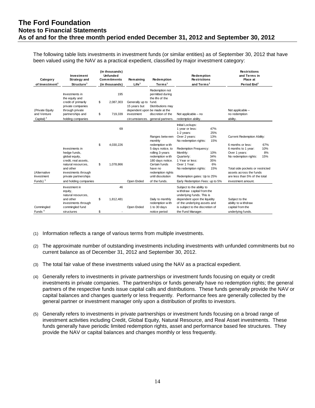The following table lists investments in investment funds (or similar entities) as of September 30, 2012 that have been valued using the NAV as a practical expedient, classified by major investment category:

| Category<br>of Investment <sup>1</sup>                   | (in thousands)<br><b>Unfunded</b><br>Investment<br>Commitments<br>Strategy and<br>Structure <sup>1</sup><br>(in thousands)                                                          |                                         | Remaining<br>Life <sup>1</sup>             | Redemption<br>Terms <sup>1</sup>              | <b>Redemption</b><br><b>Restrictions</b><br>and Terms <sup>1</sup>                                                                                                                                                 |                                                                                                                                                                                                                                                                              | <b>Restrictions</b><br>and Terms in<br>Place at<br>Period End <sup>1</sup> |                                                                                                                                                                                                                                                |                         |
|----------------------------------------------------------|-------------------------------------------------------------------------------------------------------------------------------------------------------------------------------------|-----------------------------------------|--------------------------------------------|-----------------------------------------------|--------------------------------------------------------------------------------------------------------------------------------------------------------------------------------------------------------------------|------------------------------------------------------------------------------------------------------------------------------------------------------------------------------------------------------------------------------------------------------------------------------|----------------------------------------------------------------------------|------------------------------------------------------------------------------------------------------------------------------------------------------------------------------------------------------------------------------------------------|-------------------------|
| (Private Equity<br>and Venture                           | Investments in<br>the equity and<br>credit of primarily<br>private companies<br>through private<br>partnerships and                                                                 | 195<br>\$<br>2,087,303<br>\$<br>719,339 |                                            | Generally up to<br>15 years but<br>investment | Redemption not<br>permitted during<br>the life of the<br>fund.<br>Distributions may<br>dependent upon be made at the<br>discretion of the                                                                          | Not applicable - no                                                                                                                                                                                                                                                          |                                                                            | Not applicable -<br>no redemption                                                                                                                                                                                                              |                         |
| Capital) <sup>4</sup>                                    | holding companies                                                                                                                                                                   |                                         |                                            |                                               | circumstances. general partners.                                                                                                                                                                                   | redemption ability.                                                                                                                                                                                                                                                          |                                                                            | ability.                                                                                                                                                                                                                                       |                         |
| (Alternative<br><b>Investment</b><br>Funds) <sup>5</sup> | Investments in<br>hedge funds,<br>global equity,<br>credit, real assets,<br>natural resources,<br>and other<br>investments through<br>private partnerships<br>and holding companies | \$<br>\$                                | 69<br>4,030,226<br>1,078,866<br>Open Ended |                                               | Ranges between<br>monthly<br>redemption with<br>5 days notice, to<br>rolling 3-years<br>redemption with<br>180 days notice.<br>Certain funds<br>have no<br>redemption rights<br>until dissolution<br>of the funds. | Initial Lockups:<br>1 year or less:<br>1-2 years:<br>Over 2 years:<br>No redemption rights:<br>Redemption Frequency:<br>Monthly:<br>Quarterly:<br>1 Year or less:<br>Over 1 Year:<br>No redemption rights:<br>Redemption gates: Up to 25%<br>Early Redemption Fees: up to 5% | 47%<br>25%<br>13%<br>15%<br>10%<br>34%<br>35%<br>6%<br>15%                 | <b>Current Redemption Ability:</b><br>6 months or less:<br>6 months to 1 year:<br>Over 1 years:<br>No redemption rights:<br>Total side pockets or restricted<br>assets across the funds<br>are less than 5% of the total<br>investment amount. | 67%<br>10%<br>8%<br>15% |
| Commingled<br>Funds <sup>6</sup>                         | Investment in<br>equity,<br>natural resources.<br>and other<br>investments through<br>commingled fund<br>structures                                                                 | \$<br>\$                                | 46<br>1,812,481                            | Open Ended                                    | Daily to monthly<br>redemption with<br>1 to 30 days<br>notice period                                                                                                                                               | Subject to the ability to<br>withdraw capital from the<br>underlying funds. This is<br>dependent upon the liquidity<br>of the underlying assets and<br>is subject to the discretion of<br>the Fund Manager.                                                                  |                                                                            | Subject to the<br>ability to withdraw<br>capital from the<br>underlying funds.                                                                                                                                                                 |                         |

- (1) Information reflects a range of various terms from multiple investments.
- (2) The approximate number of outstanding investments including investments with unfunded commitments but no current balance as of December 31, 2012 and September 30, 2012.
- (3) The total fair value of these investments valued using the NAV as a practical expedient.
- (4) Generally refers to investments in private partnerships or investment funds focusing on equity or credit investments in private companies. The partnerships or funds generally have no redemption rights; the general partners of the respective funds issue capital calls and distributions. These funds generally provide the NAV or capital balances and changes quarterly or less frequently. Performance fees are generally collected by the general partner or investment manager only upon a distribution of profits to investors.
- (5) Generally refers to investments in private partnerships or investment funds focusing on a broad range of investment activities including Credit, Global Equity, Natural Resource, and Real Asset investments. These funds generally have periodic limited redemption rights, asset and performance based fee structures. They provide the NAV or capital balances and changes monthly or less frequently.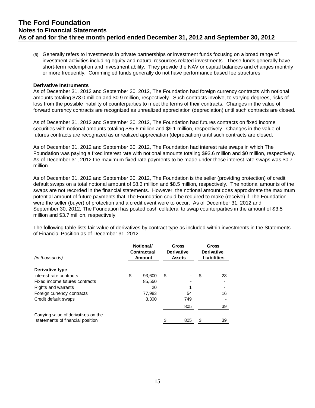(6) Generally refers to investments in private partnerships or investment funds focusing on a broad range of investment activities including equity and natural resources related investments. These funds generally have short-term redemption and investment ability. They provide the NAV or capital balances and changes monthly or more frequently. Commingled funds generally do not have performance based fee structures.

#### **Derivative Instruments**

As of December 31, 2012 and September 30, 2012, The Foundation had foreign currency contracts with notional amounts totaling \$78.0 million and \$0.9 million, respectively. Such contracts involve, to varying degrees, risks of loss from the possible inability of counterparties to meet the terms of their contracts. Changes in the value of forward currency contracts are recognized as unrealized appreciation (depreciation) until such contracts are closed.

As of December 31, 2012 and September 30, 2012, The Foundation had futures contracts on fixed income securities with notional amounts totaling \$85.6 million and \$9.1 million, respectively. Changes in the value of futures contracts are recognized as unrealized appreciation (depreciation) until such contracts are closed.

As of December 31, 2012 and September 30, 2012, The Foundation had interest rate swaps in which The Foundation was paying a fixed interest rate with notional amounts totaling \$93.6 million and \$0 million, respectively. As of December 31, 2012 the maximum fixed rate payments to be made under these interest rate swaps was \$0.7 million.

As of December 31, 2012 and September 30, 2012, The Foundation is the seller (providing protection) of credit default swaps on a total notional amount of \$8.3 million and \$8.5 million, respectively. The notional amounts of the swaps are not recorded in the financial statements. However, the notional amount does approximate the maximum potential amount of future payments that The Foundation could be required to make (receive) if The Foundation were the seller (buyer) of protection and a credit event were to occur. As of December 31, 2012 and September 30, 2012, The Foundation has posted cash collateral to swap counterparties in the amount of \$3.5 million and \$3.7 million, respectively.

The following table lists fair value of derivatives by contract type as included within investments in the Statements of Financial Position as of December 31, 2012.

|                                      | Notional/<br>Contractual | <b>Gross</b><br><b>Derivative</b> | Gross<br><b>Derivative</b> |             |  |
|--------------------------------------|--------------------------|-----------------------------------|----------------------------|-------------|--|
| (in thousands)                       | Amount                   | <b>Assets</b>                     |                            | Liabilities |  |
| Derivative type                      |                          |                                   |                            |             |  |
| Interest rate contracts              | \$<br>93,600             | \$                                | \$                         | 23          |  |
| Fixed income futures contracts       | 85.550                   |                                   |                            |             |  |
| Rights and warrants                  | 20                       |                                   |                            |             |  |
| Foreign currency contracts           | 77,983                   | 54                                |                            | 16          |  |
| Credit default swaps                 | 8.300                    | 749                               |                            |             |  |
|                                      |                          | 805                               |                            | 39          |  |
| Carrying value of derivatives on the |                          |                                   |                            |             |  |
| statements of financial position     |                          | 805                               | S                          | 39          |  |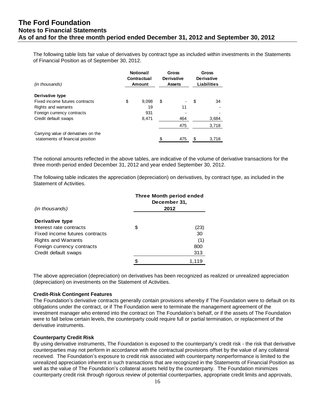The following table lists fair value of derivatives by contract type as included within investments in the Statements of Financial Position as of September 30, 2012.

| (in thousands)                       | Notional/<br>Contractual<br>Amount | <b>Gross</b><br><b>Derivative</b><br><b>Assets</b> | Gross<br><b>Derivative</b><br>Liabilities |       |  |
|--------------------------------------|------------------------------------|----------------------------------------------------|-------------------------------------------|-------|--|
| Derivative type                      |                                    |                                                    |                                           |       |  |
| Fixed income futures contracts       | \$<br>9.098                        | \$                                                 | S                                         | 34    |  |
| Rights and warrants                  | 19                                 | 11                                                 |                                           |       |  |
| Foreign currency contracts           | 931                                |                                                    |                                           |       |  |
| Credit default swaps                 | 8.471                              | 464                                                |                                           | 3,684 |  |
|                                      |                                    | 475                                                |                                           | 3,718 |  |
| Carrying value of derivatives on the |                                    |                                                    |                                           |       |  |
| statements of financial position     |                                    | 475                                                |                                           | 3.718 |  |

The notional amounts reflected in the above tables, are indicative of the volume of derivative transactions for the three month period ended December 31, 2012 and year ended September 30, 2012.

The following table indicates the appreciation (depreciation) on derivatives, by contract type, as included in the Statement of Activities.

|                                | Three Month period ended<br>December 31, |  |  |  |  |  |
|--------------------------------|------------------------------------------|--|--|--|--|--|
| (in thousands)                 | 2012                                     |  |  |  |  |  |
| Derivative type                |                                          |  |  |  |  |  |
| Interest rate contracts        | \$<br>(23)                               |  |  |  |  |  |
| Fixed income futures contracts | 30                                       |  |  |  |  |  |
| Rights and Warrants            | (1)                                      |  |  |  |  |  |
| Foreign currency contracts     | 800                                      |  |  |  |  |  |
| Credit default swaps           | 313                                      |  |  |  |  |  |
|                                | 1.119                                    |  |  |  |  |  |

The above appreciation (depreciation) on derivatives has been recognized as realized or unrealized appreciation (depreciation) on investments on the Statement of Activities.

#### **Credit-Risk Contingent Features**

The Foundation's derivative contracts generally contain provisions whereby if The Foundation were to default on its obligations under the contract, or if The Foundation were to terminate the management agreement of the investment manager who entered into the contract on The Foundation's behalf, or if the assets of The Foundation were to fall below certain levels, the counterparty could require full or partial termination, or replacement of the derivative instruments.

#### **Counterparty Credit Risk**

By using derivative instruments, The Foundation is exposed to the counterparty's credit risk - the risk that derivative counterparties may not perform in accordance with the contractual provisions offset by the value of any collateral received. The Foundation's exposure to credit risk associated with counterparty nonperformance is limited to the unrealized appreciation inherent in such transactions that are recognized in the Statements of Financial Position as well as the value of The Foundation's collateral assets held by the counterparty. The Foundation minimizes counterparty credit risk through rigorous review of potential counterparties, appropriate credit limits and approvals,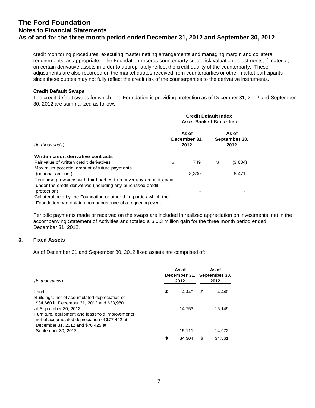credit monitoring procedures, executing master netting arrangements and managing margin and collateral requirements, as appropriate. The Foundation records counterparty credit risk valuation adjustments, if material, on certain derivative assets in order to appropriately reflect the credit quality of the counterparty. These adjustments are also recorded on the market quotes received from counterparties or other market participants since these quotes may not fully reflect the credit risk of the counterparties to the derivative instruments.

#### **Credit Default Swaps**

The credit default swaps for which The Foundation is providing protection as of December 31, 2012 and September 30, 2012 are summarized as follows:

|                                                                                                                                    | <b>Credit Default Index</b><br><b>Asset Backed Securities</b> |    |                                |  |  |  |  |
|------------------------------------------------------------------------------------------------------------------------------------|---------------------------------------------------------------|----|--------------------------------|--|--|--|--|
| (in thousands)                                                                                                                     | As of<br>December 31,<br>2012                                 |    | As of<br>September 30,<br>2012 |  |  |  |  |
| Written credit derivative contracts                                                                                                |                                                               |    |                                |  |  |  |  |
| Fair value of written credit derivatives                                                                                           | \$<br>749                                                     | \$ | (3,684)                        |  |  |  |  |
| Maximum potential amount of future payments                                                                                        |                                                               |    |                                |  |  |  |  |
| (notional amount)                                                                                                                  | 8,300                                                         |    | 8,471                          |  |  |  |  |
| Recourse provisions with third parties to recover any amounts paid<br>under the credit derivatives (including any purchased credit |                                                               |    |                                |  |  |  |  |
| protection)                                                                                                                        |                                                               |    |                                |  |  |  |  |
| Collateral held by the Foundation or other third parties which the                                                                 |                                                               |    |                                |  |  |  |  |
| Foundation can obtain upon occurrence of a triggering event                                                                        |                                                               |    |                                |  |  |  |  |

Periodic payments made or received on the swaps are included in realized appreciation on investments, net in the accompanying Statement of Activities and totaled a \$ 0.3 million gain for the three month period ended December 31, 2012.

## **3. Fixed Assets**

As of December 31 and September 30, 2012 fixed assets are comprised of:

| (in thousands)                                   | As of<br>December 31,<br>2012 | As of<br>September 30,<br>2012 |        |  |
|--------------------------------------------------|-------------------------------|--------------------------------|--------|--|
| Land                                             | \$<br>4.440                   | \$                             | 4.440  |  |
| Buildings, net of accumulated depreciation of    |                               |                                |        |  |
| \$34,660 in December 31, 2012 and \$33,980       |                               |                                |        |  |
| at September 30, 2012                            | 14.753                        |                                | 15.149 |  |
| Furniture, equipment and leasehold improvements, |                               |                                |        |  |
| net of accumulated depreciation of \$77,442 at   |                               |                                |        |  |
| December 31, 2012 and \$76,425 at                |                               |                                |        |  |
| September 30, 2012                               | 15,111                        |                                | 14,972 |  |
|                                                  | \$<br>34.304                  |                                | 34.561 |  |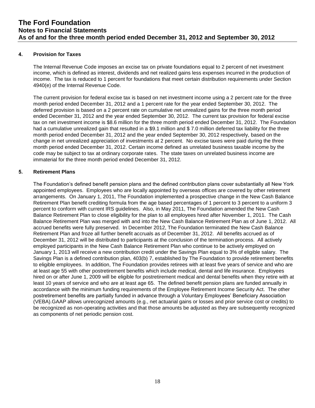## **4. Provision for Taxes**

The Internal Revenue Code imposes an excise tax on private foundations equal to 2 percent of net investment income, which is defined as interest, dividends and net realized gains less expenses incurred in the production of income. The tax is reduced to 1 percent for foundations that meet certain distribution requirements under Section 4940(e) of the Internal Revenue Code.

The current provision for federal excise tax is based on net investment income using a 2 percent rate for the three month period ended December 31, 2012 and a 1 percent rate for the year ended September 30, 2012. The deferred provision is based on a 2 percent rate on cumulative net unrealized gains for the three month period ended December 31, 2012 and the year ended September 30, 2012. The current tax provision for federal excise tax on net investment income is \$8.6 million for the three month period ended December 31, 2012. The Foundation had a cumulative unrealized gain that resulted in a \$9.1 million and \$7.0 million deferred tax liability for the three month period ended December 31, 2012 and the year ended September 30, 2012 respectively, based on the change in net unrealized appreciation of investments at 2 percent. No excise taxes were paid during the three month period ended December 31, 2012. Certain income defined as unrelated business taxable income by the code may be subject to tax at ordinary corporate rates. The state taxes on unrelated business income are immaterial for the three month period ended December 31, 2012.

## **5. Retirement Plans**

The Foundation's defined benefit pension plans and the defined contribution plans cover substantially all New York appointed employees. Employees who are locally appointed by overseas offices are covered by other retirement arrangements. On January 1, 2011, The Foundation implemented a prospective change in the New Cash Balance Retirement Plan benefit crediting formula from the age based percentages of 1 percent to 3 percent to a uniform 3 percent to conform with current IRS guidelines. Also, in May 2011, The Foundation amended the New Cash Balance Retirement Plan to close eligibility for the plan to all employees hired after November 1, 2011. The Cash Balance Retirement Plan was merged with and into the New Cash Balance Retirement Plan as of June 1, 2012. All accrued benefits were fully preserved. In December 2012, The Foundation terminated the New Cash Balance Retirement Plan and froze all further benefit accruals as of December 31, 2012. All benefits accrued as of December 31, 2012 will be distributed to participants at the conclusion of the termination process. All actively employed participants in the New Cash Balance Retirement Plan who continue to be actively employed on January 1, 2013 will receive a new contribution credit under the Savings Plan equal to 3% of eligible salary. The Savings Plan is a defined contribution plan, 403(b) 7, established by The Foundation to provide retirement benefits to eligible employees. In addition, The Foundation provides retirees with at least five years of service and who are at least age 55 with other postretirement benefits which include medical, dental and life insurance. Employees hired on or after June 1, 2009 will be eligible for postretirement medical and dental benefits when they retire with at least 10 years of service and who are at least age 65. The defined benefit pension plans are funded annually in accordance with the minimum funding requirements of the Employee Retirement Income Security Act. The other postretirement benefits are partially funded in advance through a Voluntary Employees' Beneficiary Association (VEBA).GAAP allows unrecognized amounts (e.g., net actuarial gains or losses and prior service cost or credits) to be recognized as non-operating activities and that those amounts be adjusted as they are subsequently recognized as components of net periodic pension cost.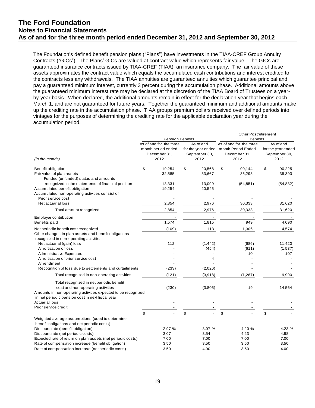The Foundation's defined benefit pension plans ("Plans") have investments in the TIAA-CREF Group Annuity Contracts ("GICs"). The Plans' GICs are valued at contract value which represents fair value. The GICs are guaranteed insurance contracts issued by TIAA-CREF (TIAA), an insurance company. The fair value of these assets approximates the contract value which equals the accumulated cash contributions and interest credited to the contracts less any withdrawals. The TIAA annuities are guaranteed annuities which guarantee principal and pay a guaranteed minimum interest, currently 3 percent during the accumulation phase. Additional amounts above the guaranteed minimum interest rate may be declared at the discretion of the TIAA Board of Trustees on a yearby-year basis. When declared, the additional amounts remain in effect for the declaration year that begins each March 1, and are not guaranteed for future years. Together the guaranteed minimum and additional amounts make up the crediting rate in the accumulation phase. TIAA groups premium dollars received over defined periods into vintages for the purposes of determining the crediting rate for the applicable declaration year during the accumulation period.

|                                                                                                                   |                         |                         |    |                    | <b>Other Postretirement</b> |                         |           |                    |  |
|-------------------------------------------------------------------------------------------------------------------|-------------------------|-------------------------|----|--------------------|-----------------------------|-------------------------|-----------|--------------------|--|
|                                                                                                                   | <b>Pension Benefits</b> |                         |    |                    | <b>Benefits</b>             |                         |           |                    |  |
|                                                                                                                   |                         | As of and for the three |    | As of and          |                             | As of and for the three | As of and |                    |  |
|                                                                                                                   |                         | month period ended      |    | for the year ended |                             | month Period Ended      |           | for the year ended |  |
|                                                                                                                   |                         | December 31,            |    | September 30,      |                             | December 31,            |           | September 30,      |  |
| (in thousands)                                                                                                    |                         | 2012                    |    | 2012               |                             | 2012                    |           | 2012               |  |
| Benefit obligation                                                                                                | \$                      | 19,254                  | \$ | 20,568             | \$                          | 90,144                  | \$        | 90.225             |  |
| Fair value of plan assets                                                                                         |                         | 32,585                  |    | 33,667             |                             | 35,293                  |           | 35,393             |  |
| Funded (unfunded) status and amounts                                                                              |                         |                         |    |                    |                             |                         |           |                    |  |
| recognized in the statements of financial position                                                                |                         | 13,331                  |    | 13,099             |                             | (54, 851)               |           | (54, 832)          |  |
| Accumulated benefit obligation                                                                                    |                         | 19,254                  |    | 20,545             |                             |                         |           |                    |  |
| Accumulated non-operating activities consist of                                                                   |                         |                         |    |                    |                             |                         |           |                    |  |
| Prior service cost                                                                                                |                         |                         |    |                    |                             |                         |           |                    |  |
| Net actuarial loss                                                                                                |                         | 2,854                   |    | 2,976              |                             | 30,333                  |           | 31,620             |  |
| Total amount recognized                                                                                           |                         | 2.854                   |    | 2,976              |                             | 30,333                  |           | 31.620             |  |
| Employer contribution                                                                                             |                         |                         |    |                    |                             |                         |           |                    |  |
| Benefits paid                                                                                                     |                         | 1,574                   |    | 1,815              |                             | 949                     |           | 4,090              |  |
| Net periodic benefit cost recognized                                                                              |                         | (109)                   |    | 113                |                             | 1,306                   |           | 4,574              |  |
| Other changes in plan assets and benefit obligations<br>recognized in non-operating activities                    |                         |                         |    |                    |                             |                         |           |                    |  |
| Net actuarial (gain) loss                                                                                         |                         | 112                     |    | (1, 442)           |                             | (686)                   |           | 11,420             |  |
| Amortization of loss                                                                                              |                         |                         |    | (454)              |                             | (611)                   |           | (1,537)            |  |
| <b>Administrative Expenses</b>                                                                                    |                         |                         |    |                    |                             | 10                      |           | 107                |  |
| Amortization of prior service cost                                                                                |                         |                         |    | 4                  |                             |                         |           |                    |  |
| Amendment                                                                                                         |                         |                         |    |                    |                             |                         |           |                    |  |
| Recognition of loss due to settlements and curtailments                                                           |                         | (233)                   |    | (2,026)            |                             |                         |           |                    |  |
| Total recognized in non-operating activities                                                                      |                         | (121)                   |    | (3,918)            |                             | (1, 287)                |           | 9,990              |  |
| Total recognized in net periodic benefit                                                                          |                         |                         |    |                    |                             |                         |           |                    |  |
| cost and non-operating activities                                                                                 |                         | (230)                   |    | (3,805)            |                             | 19                      |           | 14,564             |  |
| Amounts in non-operating activities expected to be recognized                                                     |                         |                         |    |                    |                             |                         |           |                    |  |
| in net periodic pension cost in next fiscal year                                                                  |                         |                         |    |                    |                             |                         |           |                    |  |
| <b>Actuarial loss</b>                                                                                             |                         |                         |    |                    |                             |                         |           |                    |  |
| Prior service credit                                                                                              |                         |                         |    |                    |                             |                         |           |                    |  |
|                                                                                                                   | \$                      |                         | \$ |                    | \$                          |                         | \$        |                    |  |
| Weighted average assumptions (used to determine                                                                   |                         |                         |    |                    |                             |                         |           |                    |  |
| benefit obligations and net periodic costs)                                                                       |                         |                         |    |                    |                             |                         |           |                    |  |
| Discount rate (benefit obligation)                                                                                |                         | 2.97 %                  |    | 3.07 %             |                             | 4.20 %                  |           | 4.23 %             |  |
| Discount rate (net periodic costs)                                                                                |                         | 3.07                    |    | 3.54               |                             | 4.23                    |           | 4.98               |  |
| Expected rate of return on plan assets (net periodic costs)<br>Rate of compensation increase (benefit obligation) |                         | 7.00<br>3.50            |    | 7.00<br>3.50       |                             | 7.00<br>3.50            |           | 7.00<br>3.50       |  |
|                                                                                                                   |                         |                         |    |                    |                             |                         |           |                    |  |
| Rate of compensation increase (net periodic costs)                                                                |                         | 3.50                    |    | 4.00               |                             | 3.50                    |           | 4.00               |  |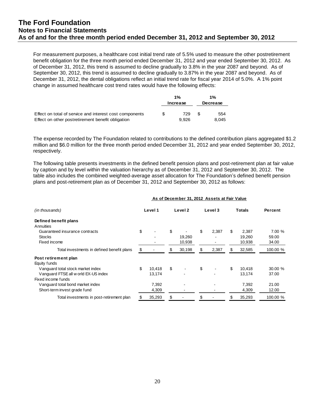For measurement purposes, a healthcare cost initial trend rate of 5.5% used to measure the other postretirement benefit obligation for the three month period ended December 31, 2012 and year ended September 30, 2012. As of December 31, 2012, this trend is assumed to decline gradually to 3.8% in the year 2087 and beyond. As of September 30, 2012, this trend is assumed to decline gradually to 3.87% in the year 2087 and beyond. As of December 31, 2012, the dental obligations reflect an initial trend rate for fiscal year 2014 of 5.0%. A 1% point change in assumed healthcare cost trend rates would have the following effects:

|                                                         | 1% |          |          | 1%    |  |
|---------------------------------------------------------|----|----------|----------|-------|--|
|                                                         |    | Increase | Decrease |       |  |
| Effect on total of service and interest cost components |    | 729      | £.       | 554   |  |
| Effect on other postretirement benefit obligation       |    | 9.926    |          | 8.045 |  |

The expense recorded by The Foundation related to contributions to the defined contribution plans aggregated \$1.2 million and \$6.0 million for the three month period ended December 31, 2012 and year ended September 30, 2012, respectively.

The following table presents investments in the defined benefit pension plans and post-retirement plan at fair value by caption and by level within the valuation hierarchy as of December 31, 2012 and September 30, 2012. The table also includes the combined weighted-average asset allocation for The Foundation's defined benefit pension plans and post-retirement plan as of December 31, 2012 and September 30, 2012 as follows:

| (in thousands)                             | Level 1 |        | Level 2 |        | Level 3 |       | <b>Totals</b> |        | Percent  |  |
|--------------------------------------------|---------|--------|---------|--------|---------|-------|---------------|--------|----------|--|
| Defined benefit plans                      |         |        |         |        |         |       |               |        |          |  |
| Annuities                                  |         |        |         |        |         |       |               |        |          |  |
| Guaranteed insurance contracts             | \$      |        | \$      |        | \$      | 2,387 | \$            | 2,387  | 7.00 %   |  |
| <b>Stocks</b>                              |         |        |         | 19,260 |         |       |               | 19,260 | 59.00    |  |
| Fixed income                               |         |        |         | 10,938 |         |       |               | 10,938 | 34.00    |  |
| Total investments in defined benefit plans | \$.     |        | S       | 30,198 | S       | 2,387 | S             | 32,585 | 100.00 % |  |
| Post retirement plan                       |         |        |         |        |         |       |               |        |          |  |
| Equity funds                               |         |        |         |        |         |       |               |        |          |  |
| Vanguard total stock market index          | \$      | 10.418 | \$      |        | \$      |       | \$            | 10.418 | 30.00 %  |  |
| Vanguard FTSE all w orld EX-US index       |         | 13,174 |         |        |         |       |               | 13,174 | 37.00    |  |
| Fixed income funds                         |         |        |         |        |         |       |               |        |          |  |
| Vanguard total bond market index           |         | 7,392  |         |        |         |       |               | 7,392  | 21.00    |  |
| Short-term invest grade fund               |         | 4,309  |         |        |         |       |               | 4,309  | 12.00    |  |
| Total investments in post-retirement plan  | SS.     | 35,293 | \$      |        | S       |       | S             | 35,293 | 100.00 % |  |

#### **As of December 31, 2012 Assets at Fair Value**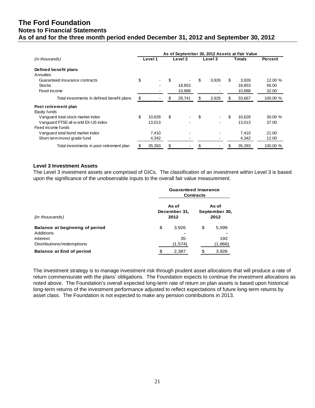|                                            | As of September 30, 2012 Assets at Fair Value |         |    |         |    |                |    |               |          |  |
|--------------------------------------------|-----------------------------------------------|---------|----|---------|----|----------------|----|---------------|----------|--|
| (in thousands)                             |                                               | Level 1 |    | Level 2 |    | Level 3        |    | <b>Totals</b> | Percent  |  |
| Defined benefit plans                      |                                               |         |    |         |    |                |    |               |          |  |
| Annuities                                  |                                               |         |    |         |    |                |    |               |          |  |
| Guaranteed insurance contracts             | \$                                            |         | \$ |         | \$ | 3,926          | \$ | 3.926         | 12.00 %  |  |
| <b>Stocks</b>                              |                                               |         |    | 18,853  |    |                |    | 18,853        | 56.00    |  |
| Fixed income                               |                                               |         |    | 10,888  |    |                |    | 10,888        | 32.00    |  |
| Total investments in defined benefit plans | \$                                            |         | \$ | 29,741  | S  | 3,926          | \$ | 33,667        | 100.00 % |  |
| Post retirement plan                       |                                               |         |    |         |    |                |    |               |          |  |
| Equity funds                               |                                               |         |    |         |    |                |    |               |          |  |
| Vanguard total stock market index          | \$                                            | 10.628  | \$ |         | S  | $\blacksquare$ | \$ | 10.628        | 30.00%   |  |
| Vanguard FTSE all w orld EX-US index       |                                               | 13,013  |    |         |    |                |    | 13,013        | 37.00    |  |
| Fixed income funds                         |                                               |         |    |         |    |                |    |               |          |  |
| Vanguard total bond market index           |                                               | 7,410   |    |         |    |                |    | 7,410         | 21.00    |  |
| Short-term invest grade fund               |                                               | 4,342   |    |         |    |                |    | 4,342         | 12.00    |  |
| Total investments in post-retirement plan  | S                                             | 35,393  | S  |         | S  |                | \$ | 35,393        | 100.00 % |  |

#### **Level 3 Investment Assets**

The Level 3 investment assets are comprised of GICs. The classification of an investment within Level 3 is based upon the significance of the unobservable inputs to the overall fair value measurement.

|                                                                                      | <b>Guaranteed Insurance</b><br><b>Contracts</b> |                               |    |                                |  |  |  |  |  |
|--------------------------------------------------------------------------------------|-------------------------------------------------|-------------------------------|----|--------------------------------|--|--|--|--|--|
| (in thousands)                                                                       |                                                 | As of<br>December 31,<br>2012 |    | As of<br>September 30,<br>2012 |  |  |  |  |  |
| Balance at beginning of period<br>Additions<br>Interest<br>Distributions/redemptions | \$                                              | 3,926<br>35<br>(1,574)        | \$ | 5,599<br>193<br>(1,866)        |  |  |  |  |  |
| <b>Balance at End of period</b>                                                      | \$                                              | 2,387                         | \$ | 3,926                          |  |  |  |  |  |

The investment strategy is to manage investment risk through prudent asset allocations that will produce a rate of return commensurate with the plans' obligations. The Foundation expects to continue the investment allocations as noted above. The Foundation's overall expected long-term rate of return on plan assets is based upon historical long-term returns of the investment performance adjusted to reflect expectations of future long-term returns by asset class. The Foundation is not expected to make any pension contributions in 2013.